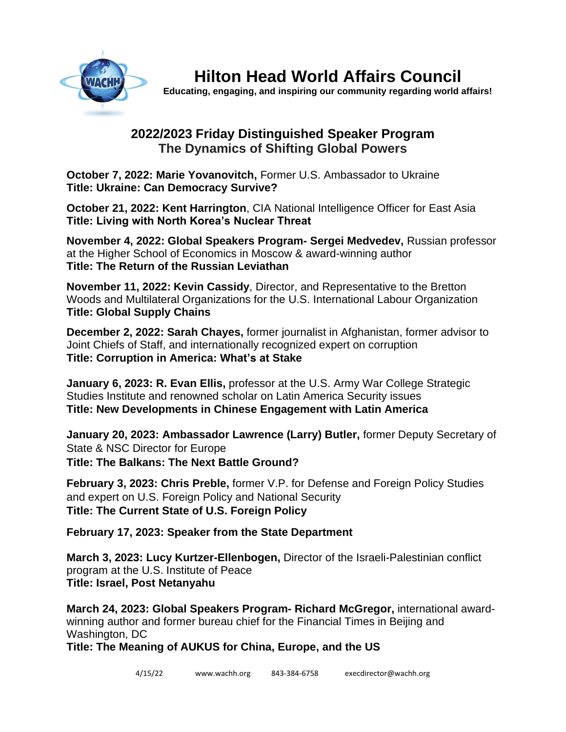

**Hilton Head World Affairs Council**

**Educating, engaging, and inspiring our community regarding world affairs!**

## **2022/2023 Friday Distinguished Speaker Program The Dynamics of Shifting Global Powers**

**October 7, 2022: Marie Yovanovitch,** Former U.S. Ambassador to Ukraine **Title: Ukraine: Can Democracy Survive?**

**October 21, 2022: Kent Harrington**, CIA National Intelligence Officer for East Asia **Title: Living with North Korea's Nuclear Threat**

**November 4, 2022: Global Speakers Program- Sergei Medvedev,** Russian professor at the Higher School of Economics in Moscow & award-winning author **Title: The Return of the Russian Leviathan**

**November 11, 2022: Kevin Cassidy**, Director, and Representative to the Bretton Woods and Multilateral Organizations for the U.S. International Labour Organization **Title: Global Supply Chains**

**December 2, 2022: Sarah Chayes,** former journalist in Afghanistan, former advisor to Joint Chiefs of Staff, and internationally recognized expert on corruption **Title: Corruption in America: What's at Stake**

**January 6, 2023: R. Evan Ellis,** professor at the U.S. Army War College Strategic Studies Institute and renowned scholar on Latin America Security issues **Title: New Developments in Chinese Engagement with Latin America**

**January 20, 2023: Ambassador Lawrence (Larry) Butler,** former Deputy Secretary of State & NSC Director for Europe **Title: The Balkans: The Next Battle Ground?** 

**February 3, 2023: Chris Preble,** former V.P. for Defense and Foreign Policy Studies and expert on U.S. Foreign Policy and National Security **Title: The Current State of U.S. Foreign Policy**

**February 17, 2023: Speaker from the State Department**

**March 3, 2023: Lucy Kurtzer-Ellenbogen,** Director of the Israeli-Palestinian conflict program at the U.S. Institute of Peace **Title: Israel, Post Netanyahu**

**March 24, 2023: Global Speakers Program- Richard McGregor,** international awardwinning author and former bureau chief for the Financial Times in Beijing and Washington, DC

**Title: The Meaning of AUKUS for China, Europe, and the US**